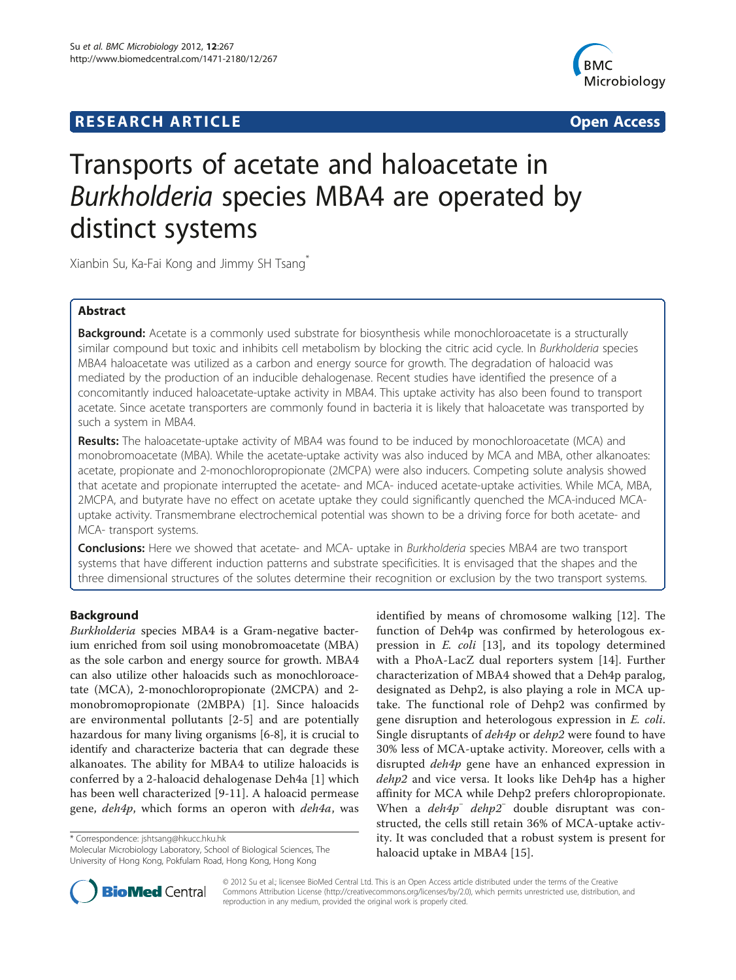# **RESEARCH ARTICLE Example 2014 The Contract of Contract Contract Contract Contract Contract Contract Contract Contract Contract Contract Contract Contract Contract Contract Contract Contract Contract Contract Contract Co**



# Transports of acetate and haloacetate in Burkholderia species MBA4 are operated by distinct systems

Xianbin Su, Ka-Fai Kong and Jimmy SH Tsang\*

# Abstract

Background: Acetate is a commonly used substrate for biosynthesis while monochloroacetate is a structurally similar compound but toxic and inhibits cell metabolism by blocking the citric acid cycle. In Burkholderia species MBA4 haloacetate was utilized as a carbon and energy source for growth. The degradation of haloacid was mediated by the production of an inducible dehalogenase. Recent studies have identified the presence of a concomitantly induced haloacetate-uptake activity in MBA4. This uptake activity has also been found to transport acetate. Since acetate transporters are commonly found in bacteria it is likely that haloacetate was transported by such a system in MBA4.

Results: The haloacetate-uptake activity of MBA4 was found to be induced by monochloroacetate (MCA) and monobromoacetate (MBA). While the acetate-uptake activity was also induced by MCA and MBA, other alkanoates: acetate, propionate and 2-monochloropropionate (2MCPA) were also inducers. Competing solute analysis showed that acetate and propionate interrupted the acetate- and MCA- induced acetate-uptake activities. While MCA, MBA, 2MCPA, and butyrate have no effect on acetate uptake they could significantly quenched the MCA-induced MCAuptake activity. Transmembrane electrochemical potential was shown to be a driving force for both acetate- and MCA- transport systems.

**Conclusions:** Here we showed that acetate- and MCA- uptake in Burkholderia species MBA4 are two transport systems that have different induction patterns and substrate specificities. It is envisaged that the shapes and the three dimensional structures of the solutes determine their recognition or exclusion by the two transport systems.

# Background

Burkholderia species MBA4 is a Gram-negative bacterium enriched from soil using monobromoacetate (MBA) as the sole carbon and energy source for growth. MBA4 can also utilize other haloacids such as monochloroacetate (MCA), 2-monochloropropionate (2MCPA) and 2 monobromopropionate (2MBPA) [[1\]](#page-7-0). Since haloacids are environmental pollutants [\[2](#page-7-0)-[5\]](#page-7-0) and are potentially hazardous for many living organisms [[6](#page-7-0)-[8\]](#page-7-0), it is crucial to identify and characterize bacteria that can degrade these alkanoates. The ability for MBA4 to utilize haloacids is conferred by a 2-haloacid dehalogenase Deh4a [[1\]](#page-7-0) which has been well characterized [[9](#page-7-0)-[11\]](#page-7-0). A haloacid permease gene, *deh4p*, which forms an operon with *deh4a*, was

\* Correspondence: [jshtsang@hkucc.hku.hk](mailto:jshtsang@hkucc.hku.hk)

Molecular Microbiology Laboratory, School of Biological Sciences, The University of Hong Kong, Pokfulam Road, Hong Kong, Hong Kong

identified by means of chromosome walking [[12\]](#page-7-0). The function of Deh4p was confirmed by heterologous expression in E. coli [[13\]](#page-7-0), and its topology determined with a PhoA-LacZ dual reporters system [[14\]](#page-7-0). Further characterization of MBA4 showed that a Deh4p paralog, designated as Dehp2, is also playing a role in MCA uptake. The functional role of Dehp2 was confirmed by gene disruption and heterologous expression in E. coli. Single disruptants of *deh4p* or *dehp2* were found to have 30% less of MCA-uptake activity. Moreover, cells with a disrupted *deh4p* gene have an enhanced expression in dehp2 and vice versa. It looks like Deh4p has a higher affinity for MCA while Dehp2 prefers chloropropionate. When a  $deh4p^-$  dehp2<sup> $-$ </sup> double disruptant was constructed, the cells still retain 36% of MCA-uptake activity. It was concluded that a robust system is present for haloacid uptake in MBA4 [[15\]](#page-7-0).



© 2012 Su et al.; licensee BioMed Central Ltd. This is an Open Access article distributed under the terms of the Creative Commons Attribution License [\(http://creativecommons.org/licenses/by/2.0\)](http://creativecommons.org/licenses/by/2.0), which permits unrestricted use, distribution, and reproduction in any medium, provided the original work is properly cited.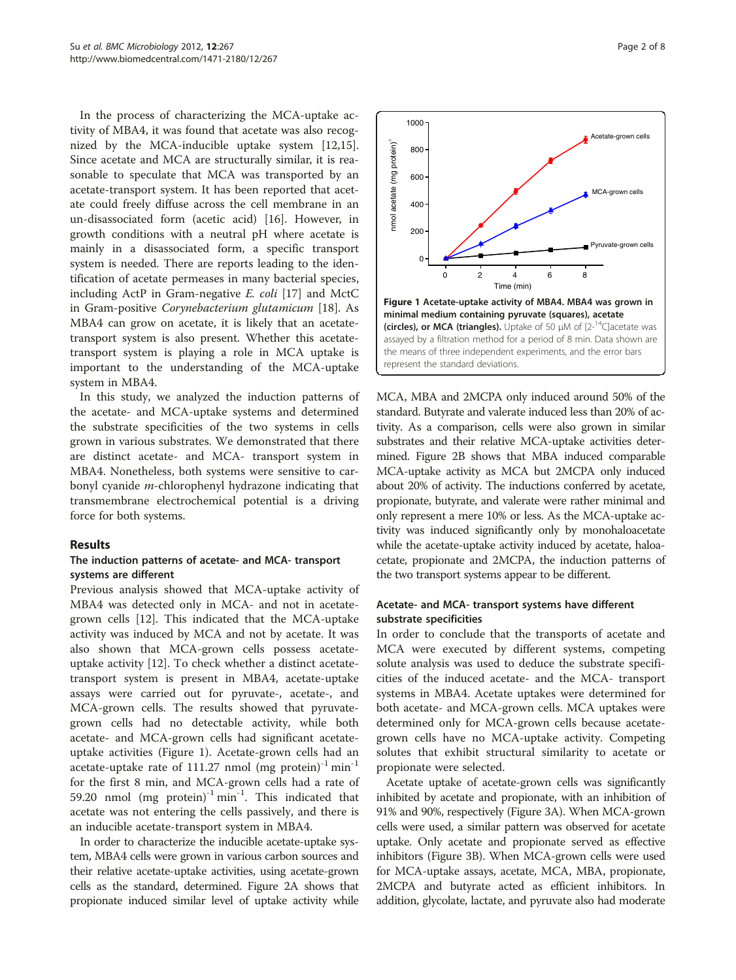In the process of characterizing the MCA-uptake activity of MBA4, it was found that acetate was also recognized by the MCA-inducible uptake system [\[12,15](#page-7-0)]. Since acetate and MCA are structurally similar, it is reasonable to speculate that MCA was transported by an acetate-transport system. It has been reported that acetate could freely diffuse across the cell membrane in an un-disassociated form (acetic acid) [\[16](#page-7-0)]. However, in growth conditions with a neutral pH where acetate is mainly in a disassociated form, a specific transport system is needed. There are reports leading to the identification of acetate permeases in many bacterial species, including ActP in Gram-negative E. coli [\[17](#page-7-0)] and MctC in Gram-positive Corynebacterium glutamicum [[18\]](#page-7-0). As MBA4 can grow on acetate, it is likely that an acetatetransport system is also present. Whether this acetatetransport system is playing a role in MCA uptake is important to the understanding of the MCA-uptake system in MBA4.

In this study, we analyzed the induction patterns of the acetate- and MCA-uptake systems and determined the substrate specificities of the two systems in cells grown in various substrates. We demonstrated that there are distinct acetate- and MCA- transport system in MBA4. Nonetheless, both systems were sensitive to carbonyl cyanide m-chlorophenyl hydrazone indicating that transmembrane electrochemical potential is a driving force for both systems.

#### Results

## The induction patterns of acetate- and MCA- transport systems are different

Previous analysis showed that MCA-uptake activity of MBA4 was detected only in MCA- and not in acetategrown cells [[12\]](#page-7-0). This indicated that the MCA-uptake activity was induced by MCA and not by acetate. It was also shown that MCA-grown cells possess acetateuptake activity [\[12](#page-7-0)]. To check whether a distinct acetatetransport system is present in MBA4, acetate-uptake assays were carried out for pyruvate-, acetate-, and MCA-grown cells. The results showed that pyruvategrown cells had no detectable activity, while both acetate- and MCA-grown cells had significant acetateuptake activities (Figure 1). Acetate-grown cells had an acetate-uptake rate of 111.27 nmol (mg protein) $^{-1}$  min<sup>-1</sup> for the first 8 min, and MCA-grown cells had a rate of 59.20 nmol  $(mg)$  protein)<sup>-1</sup> min<sup>-1</sup>. This indicated that acetate was not entering the cells passively, and there is an inducible acetate-transport system in MBA4.

In order to characterize the inducible acetate-uptake system, MBA4 cells were grown in various carbon sources and their relative acetate-uptake activities, using acetate-grown cells as the standard, determined. Figure [2A](#page-2-0) shows that propionate induced similar level of uptake activity while



MCA, MBA and 2MCPA only induced around 50% of the standard. Butyrate and valerate induced less than 20% of activity. As a comparison, cells were also grown in similar substrates and their relative MCA-uptake activities determined. Figure [2B](#page-2-0) shows that MBA induced comparable MCA-uptake activity as MCA but 2MCPA only induced about 20% of activity. The inductions conferred by acetate, propionate, butyrate, and valerate were rather minimal and only represent a mere 10% or less. As the MCA-uptake activity was induced significantly only by monohaloacetate while the acetate-uptake activity induced by acetate, haloacetate, propionate and 2MCPA, the induction patterns of the two transport systems appear to be different.

### Acetate- and MCA- transport systems have different substrate specificities

In order to conclude that the transports of acetate and MCA were executed by different systems, competing solute analysis was used to deduce the substrate specificities of the induced acetate- and the MCA- transport systems in MBA4. Acetate uptakes were determined for both acetate- and MCA-grown cells. MCA uptakes were determined only for MCA-grown cells because acetategrown cells have no MCA-uptake activity. Competing solutes that exhibit structural similarity to acetate or propionate were selected.

Acetate uptake of acetate-grown cells was significantly inhibited by acetate and propionate, with an inhibition of 91% and 90%, respectively (Figure [3A\)](#page-3-0). When MCA-grown cells were used, a similar pattern was observed for acetate uptake. Only acetate and propionate served as effective inhibitors (Figure [3B](#page-3-0)). When MCA-grown cells were used for MCA-uptake assays, acetate, MCA, MBA, propionate, 2MCPA and butyrate acted as efficient inhibitors. In addition, glycolate, lactate, and pyruvate also had moderate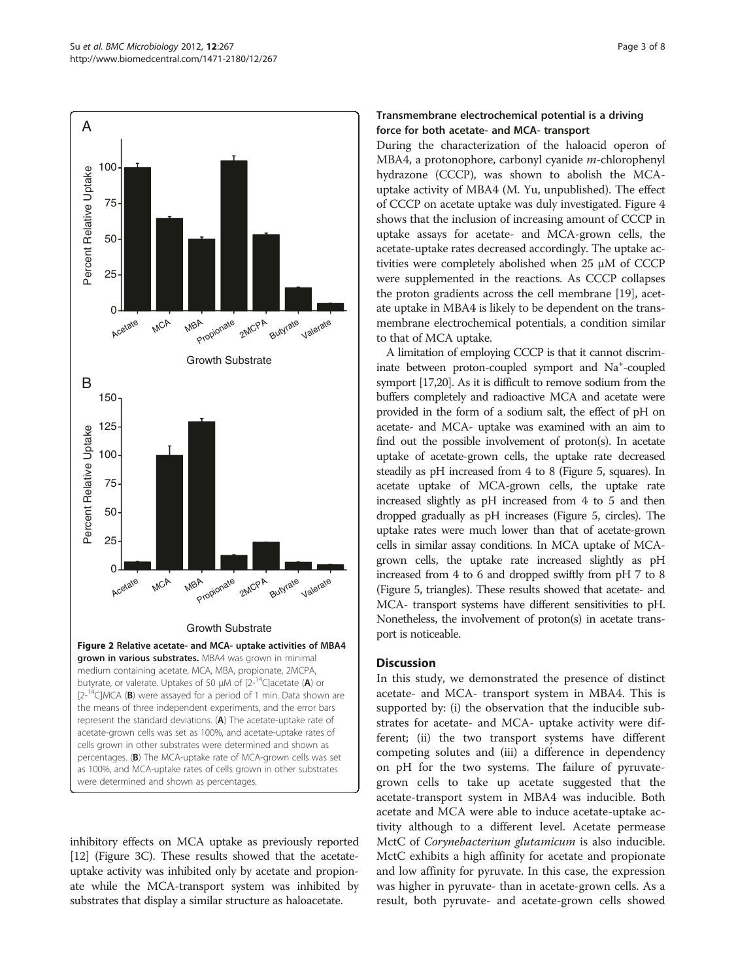<span id="page-2-0"></span>

# cells grown in other substrates were determined and shown as

percentages. (B) The MCA-uptake rate of MCA-grown cells was set as 100%, and MCA-uptake rates of cells grown in other substrates were determined and shown as percentages.

inhibitory effects on MCA uptake as previously reported [[12](#page-7-0)] (Figure [3C](#page-3-0)). These results showed that the acetateuptake activity was inhibited only by acetate and propionate while the MCA-transport system was inhibited by substrates that display a similar structure as haloacetate.

# Transmembrane electrochemical potential is a driving force for both acetate- and MCA- transport

During the characterization of the haloacid operon of MBA4, a protonophore, carbonyl cyanide m-chlorophenyl hydrazone (CCCP), was shown to abolish the MCAuptake activity of MBA4 (M. Yu, unpublished). The effect of CCCP on acetate uptake was duly investigated. Figure [4](#page-4-0) shows that the inclusion of increasing amount of CCCP in uptake assays for acetate- and MCA-grown cells, the acetate-uptake rates decreased accordingly. The uptake activities were completely abolished when 25 μM of CCCP were supplemented in the reactions. As CCCP collapses the proton gradients across the cell membrane [\[19\]](#page-7-0), acetate uptake in MBA4 is likely to be dependent on the transmembrane electrochemical potentials, a condition similar to that of MCA uptake.

A limitation of employing CCCP is that it cannot discriminate between proton-coupled symport and Na<sup>+</sup>-coupled symport [\[17,20\]](#page-7-0). As it is difficult to remove sodium from the buffers completely and radioactive MCA and acetate were provided in the form of a sodium salt, the effect of pH on acetate- and MCA- uptake was examined with an aim to find out the possible involvement of proton(s). In acetate uptake of acetate-grown cells, the uptake rate decreased steadily as pH increased from 4 to 8 (Figure [5,](#page-4-0) squares). In acetate uptake of MCA-grown cells, the uptake rate increased slightly as pH increased from 4 to 5 and then dropped gradually as pH increases (Figure [5,](#page-4-0) circles). The uptake rates were much lower than that of acetate-grown cells in similar assay conditions. In MCA uptake of MCAgrown cells, the uptake rate increased slightly as pH increased from 4 to 6 and dropped swiftly from pH 7 to 8 (Figure [5,](#page-4-0) triangles). These results showed that acetate- and MCA- transport systems have different sensitivities to pH. Nonetheless, the involvement of proton(s) in acetate transport is noticeable.

# **Discussion**

In this study, we demonstrated the presence of distinct acetate- and MCA- transport system in MBA4. This is supported by: (i) the observation that the inducible substrates for acetate- and MCA- uptake activity were different; (ii) the two transport systems have different competing solutes and (iii) a difference in dependency on pH for the two systems. The failure of pyruvategrown cells to take up acetate suggested that the acetate-transport system in MBA4 was inducible. Both acetate and MCA were able to induce acetate-uptake activity although to a different level. Acetate permease MctC of Corynebacterium glutamicum is also inducible. MctC exhibits a high affinity for acetate and propionate and low affinity for pyruvate. In this case, the expression was higher in pyruvate- than in acetate-grown cells. As a result, both pyruvate- and acetate-grown cells showed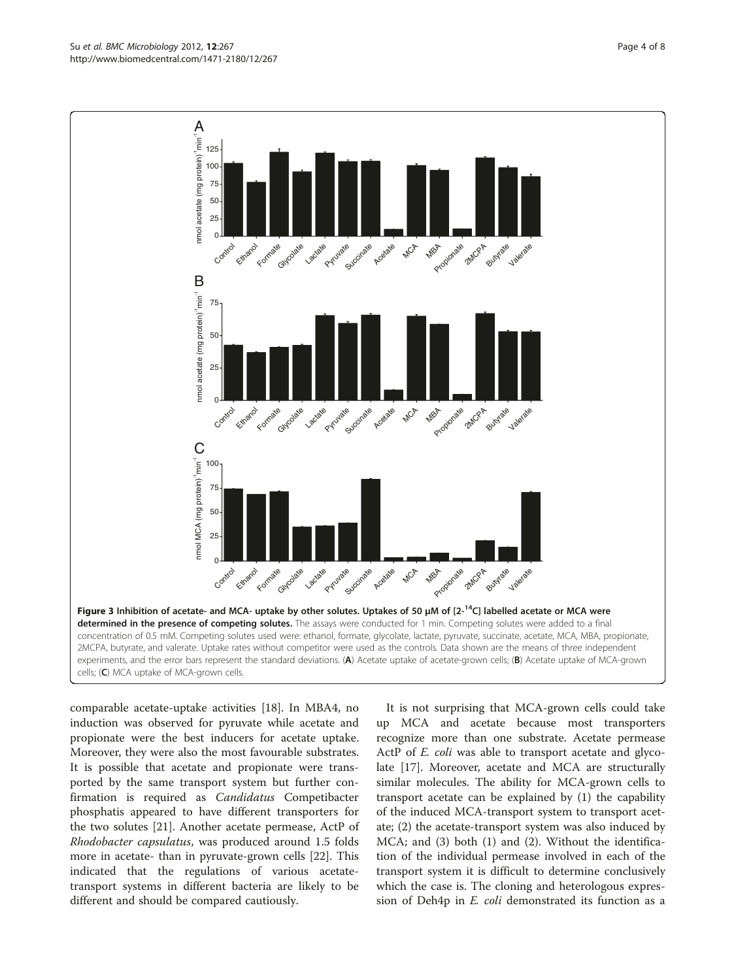comparable acetate-uptake activities [[18\]](#page-7-0). In MBA4, no induction was observed for pyruvate while acetate and propionate were the best inducers for acetate uptake. Moreover, they were also the most favourable substrates. It is possible that acetate and propionate were transported by the same transport system but further confirmation is required as Candidatus Competibacter phosphatis appeared to have different transporters for the two solutes [[21](#page-7-0)]. Another acetate permease, ActP of Rhodobacter capsulatus, was produced around 1.5 folds more in acetate- than in pyruvate-grown cells [[22\]](#page-7-0). This indicated that the regulations of various acetatetransport systems in different bacteria are likely to be different and should be compared cautiously.

It is not surprising that MCA-grown cells could take up MCA and acetate because most transporters recognize more than one substrate. Acetate permease ActP of *E. coli* was able to transport acetate and glycolate [\[17](#page-7-0)]. Moreover, acetate and MCA are structurally similar molecules. The ability for MCA-grown cells to transport acetate can be explained by (1) the capability of the induced MCA-transport system to transport acetate; (2) the acetate-transport system was also induced by MCA; and (3) both (1) and (2). Without the identification of the individual permease involved in each of the transport system it is difficult to determine conclusively which the case is. The cloning and heterologous expression of Deh4p in E. coli demonstrated its function as a

<span id="page-3-0"></span>

A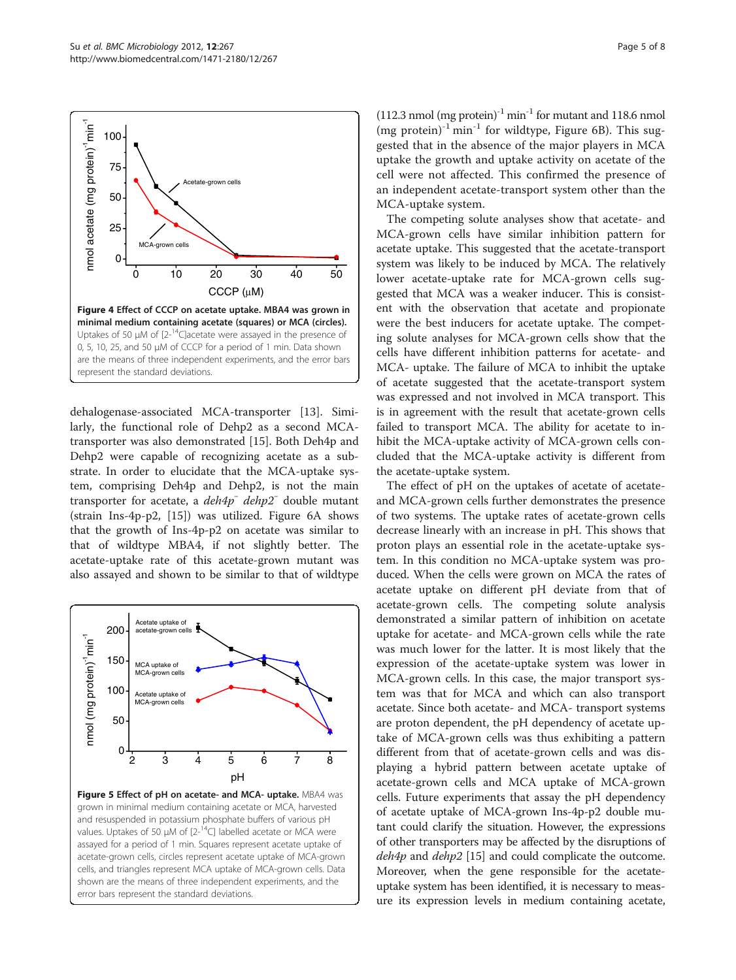dehalogenase-associated MCA-transporter [\[13\]](#page-7-0). Similarly, the functional role of Dehp2 as a second MCAtransporter was also demonstrated [[15\]](#page-7-0). Both Deh4p and Dehp2 were capable of recognizing acetate as a substrate. In order to elucidate that the MCA-uptake system, comprising Deh4p and Dehp2, is not the main transporter for acetate, a  $deh4p^-$  dehp2<sup> $-$ </sup> double mutant (strain Ins-4p-p2, [[15](#page-7-0)]) was utilized. Figure [6A](#page-5-0) shows that the growth of Ins-4p-p2 on acetate was similar to that of wildtype MBA4, if not slightly better. The acetate-uptake rate of this acetate-grown mutant was also assayed and shown to be similar to that of wildtype



 $(112.3 \text{ nmol (mg protein)}^{-1} \text{min}^{-1}$  for mutant and 118.6 nmol  $(mg$  protein)<sup>-1</sup> min<sup>-1</sup> for wildtype, Figure [6B\)](#page-5-0). This suggested that in the absence of the major players in MCA uptake the growth and uptake activity on acetate of the cell were not affected. This confirmed the presence of an independent acetate-transport system other than the MCA-uptake system.

The competing solute analyses show that acetate- and MCA-grown cells have similar inhibition pattern for acetate uptake. This suggested that the acetate-transport system was likely to be induced by MCA. The relatively lower acetate-uptake rate for MCA-grown cells suggested that MCA was a weaker inducer. This is consistent with the observation that acetate and propionate were the best inducers for acetate uptake. The competing solute analyses for MCA-grown cells show that the cells have different inhibition patterns for acetate- and MCA- uptake. The failure of MCA to inhibit the uptake of acetate suggested that the acetate-transport system was expressed and not involved in MCA transport. This is in agreement with the result that acetate-grown cells failed to transport MCA. The ability for acetate to inhibit the MCA-uptake activity of MCA-grown cells concluded that the MCA-uptake activity is different from the acetate-uptake system.

The effect of pH on the uptakes of acetate of acetateand MCA-grown cells further demonstrates the presence of two systems. The uptake rates of acetate-grown cells decrease linearly with an increase in pH. This shows that proton plays an essential role in the acetate-uptake system. In this condition no MCA-uptake system was produced. When the cells were grown on MCA the rates of acetate uptake on different pH deviate from that of acetate-grown cells. The competing solute analysis demonstrated a similar pattern of inhibition on acetate uptake for acetate- and MCA-grown cells while the rate was much lower for the latter. It is most likely that the expression of the acetate-uptake system was lower in MCA-grown cells. In this case, the major transport system was that for MCA and which can also transport acetate. Since both acetate- and MCA- transport systems are proton dependent, the pH dependency of acetate uptake of MCA-grown cells was thus exhibiting a pattern different from that of acetate-grown cells and was displaying a hybrid pattern between acetate uptake of acetate-grown cells and MCA uptake of MCA-grown cells. Future experiments that assay the pH dependency of acetate uptake of MCA-grown Ins-4p-p2 double mutant could clarify the situation. However, the expressions of other transporters may be affected by the disruptions of deh4p and dehp2 [\[15\]](#page-7-0) and could complicate the outcome. Moreover, when the gene responsible for the acetateuptake system has been identified, it is necessary to measure its expression levels in medium containing acetate,

<span id="page-4-0"></span>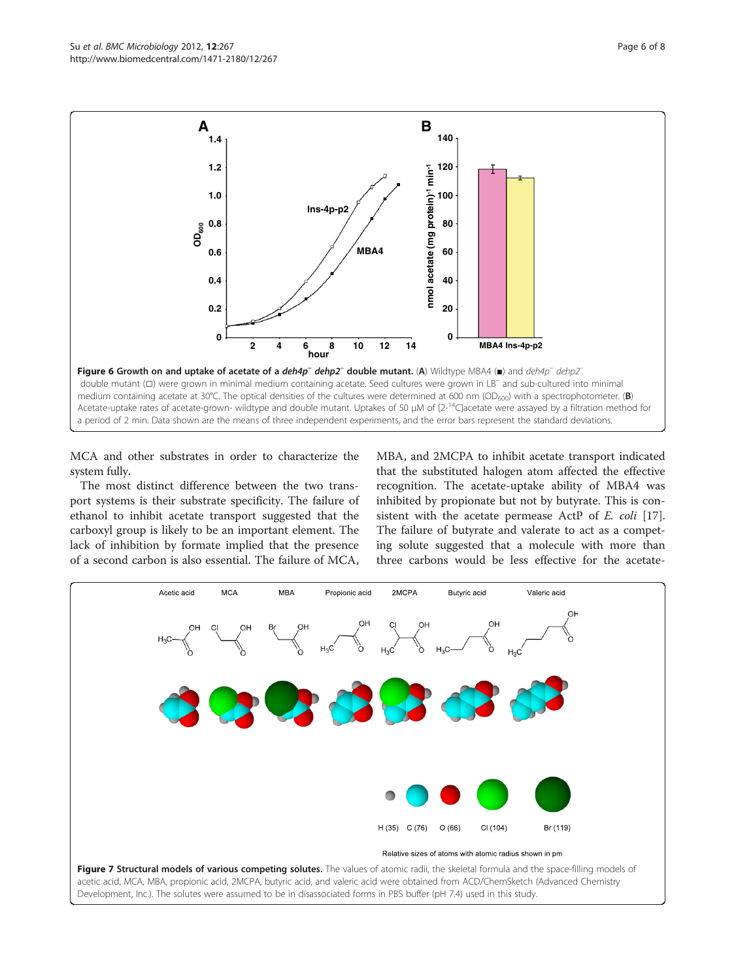<span id="page-5-0"></span>

MCA and other substrates in order to characterize the system fully.

The most distinct difference between the two transport systems is their substrate specificity. The failure of ethanol to inhibit acetate transport suggested that the carboxyl group is likely to be an important element. The lack of inhibition by formate implied that the presence of a second carbon is also essential. The failure of MCA, MBA, and 2MCPA to inhibit acetate transport indicated that the substituted halogen atom affected the effective recognition. The acetate-uptake ability of MBA4 was inhibited by propionate but not by butyrate. This is con-sistent with the acetate permease ActP of E. coli [\[17](#page-7-0)]. The failure of butyrate and valerate to act as a competing solute suggested that a molecule with more than three carbons would be less effective for the acetate-

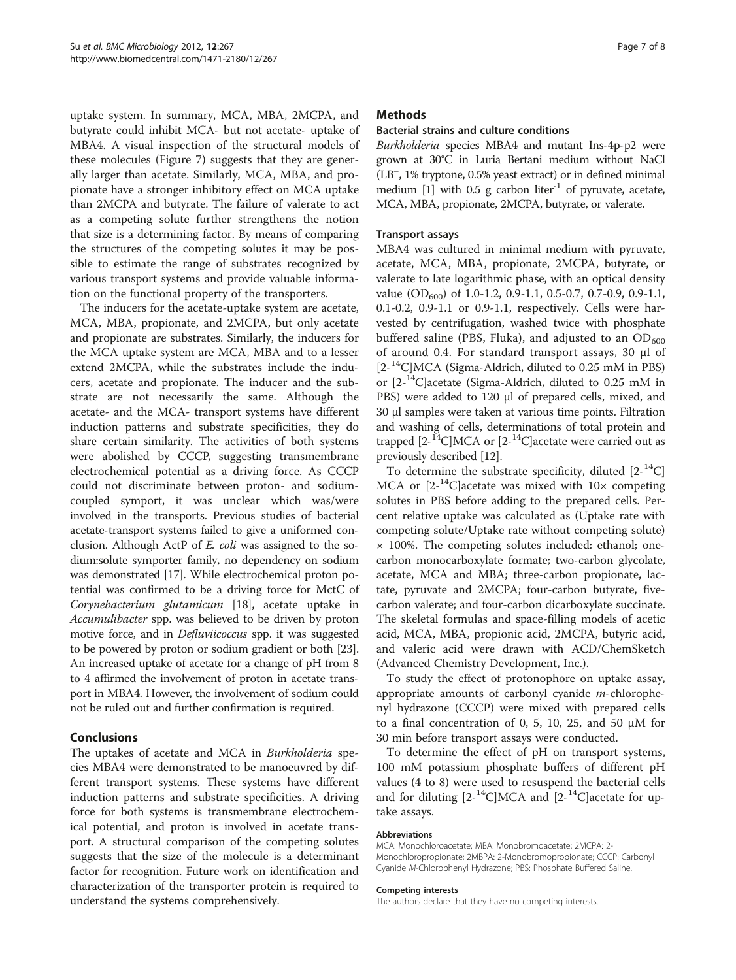uptake system. In summary, MCA, MBA, 2MCPA, and butyrate could inhibit MCA- but not acetate- uptake of MBA4. A visual inspection of the structural models of these molecules (Figure [7](#page-5-0)) suggests that they are generally larger than acetate. Similarly, MCA, MBA, and propionate have a stronger inhibitory effect on MCA uptake than 2MCPA and butyrate. The failure of valerate to act as a competing solute further strengthens the notion that size is a determining factor. By means of comparing the structures of the competing solutes it may be possible to estimate the range of substrates recognized by various transport systems and provide valuable information on the functional property of the transporters.

The inducers for the acetate-uptake system are acetate, MCA, MBA, propionate, and 2MCPA, but only acetate and propionate are substrates. Similarly, the inducers for the MCA uptake system are MCA, MBA and to a lesser extend 2MCPA, while the substrates include the inducers, acetate and propionate. The inducer and the substrate are not necessarily the same. Although the acetate- and the MCA- transport systems have different induction patterns and substrate specificities, they do share certain similarity. The activities of both systems were abolished by CCCP, suggesting transmembrane electrochemical potential as a driving force. As CCCP could not discriminate between proton- and sodiumcoupled symport, it was unclear which was/were involved in the transports. Previous studies of bacterial acetate-transport systems failed to give a uniformed conclusion. Although ActP of E. coli was assigned to the sodium:solute symporter family, no dependency on sodium was demonstrated [[17](#page-7-0)]. While electrochemical proton potential was confirmed to be a driving force for MctC of Corynebacterium glutamicum [\[18\]](#page-7-0), acetate uptake in Accumulibacter spp. was believed to be driven by proton motive force, and in Defluviicoccus spp. it was suggested to be powered by proton or sodium gradient or both [[23](#page-7-0)]. An increased uptake of acetate for a change of pH from 8 to 4 affirmed the involvement of proton in acetate transport in MBA4. However, the involvement of sodium could not be ruled out and further confirmation is required.

# Conclusions

The uptakes of acetate and MCA in Burkholderia species MBA4 were demonstrated to be manoeuvred by different transport systems. These systems have different induction patterns and substrate specificities. A driving force for both systems is transmembrane electrochemical potential, and proton is involved in acetate transport. A structural comparison of the competing solutes suggests that the size of the molecule is a determinant factor for recognition. Future work on identification and characterization of the transporter protein is required to understand the systems comprehensively.

### **Methods**

#### Bacterial strains and culture conditions

Burkholderia species MBA4 and mutant Ins-4p-p2 were grown at 30°C in Luria Bertani medium without NaCl (LB– , 1% tryptone, 0.5% yeast extract) or in defined minimal medium  $[1]$  $[1]$  $[1]$  with 0.5 g carbon liter<sup>-1</sup> of pyruvate, acetate, MCA, MBA, propionate, 2MCPA, butyrate, or valerate.

#### Transport assays

MBA4 was cultured in minimal medium with pyruvate, acetate, MCA, MBA, propionate, 2MCPA, butyrate, or valerate to late logarithmic phase, with an optical density value  $OD_{600}$  of 1.0-1.2, 0.9-1.1, 0.5-0.7, 0.7-0.9, 0.9-1.1, 0.1-0.2, 0.9-1.1 or 0.9-1.1, respectively. Cells were harvested by centrifugation, washed twice with phosphate buffered saline (PBS, Fluka), and adjusted to an  $OD_{600}$ of around 0.4. For standard transport assays, 30 μl of  $[2<sup>14</sup>C]MCA$  (Sigma-Aldrich, diluted to 0.25 mM in PBS) or  $[2^{-14}C]$ acetate (Sigma-Aldrich, diluted to 0.25 mM in PBS) were added to 120 μl of prepared cells, mixed, and 30 μl samples were taken at various time points. Filtration and washing of cells, determinations of total protein and trapped  $[2^{-14}C]MCA$  or  $[2^{-14}C]$ acetate were carried out as previously described [[12](#page-7-0)].

To determine the substrate specificity, diluted  $[2^{-14}C]$ MCA or  $[2^{-14}C]$ acetate was mixed with  $10\times$  competing solutes in PBS before adding to the prepared cells. Percent relative uptake was calculated as (Uptake rate with competing solute/Uptake rate without competing solute) × 100%. The competing solutes included: ethanol; onecarbon monocarboxylate formate; two-carbon glycolate, acetate, MCA and MBA; three-carbon propionate, lactate, pyruvate and 2MCPA; four-carbon butyrate, fivecarbon valerate; and four-carbon dicarboxylate succinate. The skeletal formulas and space-filling models of acetic acid, MCA, MBA, propionic acid, 2MCPA, butyric acid, and valeric acid were drawn with ACD/ChemSketch (Advanced Chemistry Development, Inc.).

To study the effect of protonophore on uptake assay, appropriate amounts of carbonyl cyanide m-chlorophenyl hydrazone (CCCP) were mixed with prepared cells to a final concentration of 0, 5, 10, 25, and 50 μM for 30 min before transport assays were conducted.

To determine the effect of pH on transport systems, 100 mM potassium phosphate buffers of different pH values (4 to 8) were used to resuspend the bacterial cells and for diluting  $[2^{-14}C]MCA$  and  $[2^{-14}C]$ acetate for uptake assays.

#### Abbreviations

MCA: Monochloroacetate; MBA: Monobromoacetate; 2MCPA: 2- Monochloropropionate; 2MBPA: 2-Monobromopropionate; CCCP: Carbonyl Cyanide M-Chlorophenyl Hydrazone; PBS: Phosphate Buffered Saline.

#### Competing interests

The authors declare that they have no competing interests.